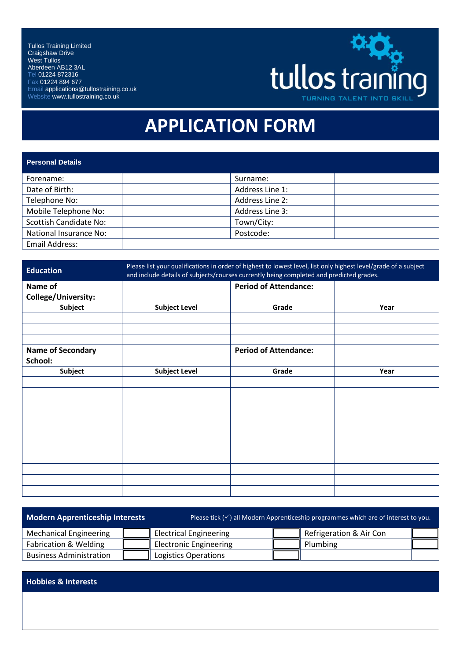Tullos Training Limited Craigshaw Drive West Tullos Aberdeen AB12 3AL Tel 01224 872316 Fax 01224 894 677 Email applications@tullostraining.co.uk Website www.tullostraining.co.uk



## **APPLICATION FORM**

| <b>Personal Details</b>       |                 |
|-------------------------------|-----------------|
| Forename:                     | Surname:        |
| Date of Birth:                | Address Line 1: |
| Telephone No:                 | Address Line 2: |
| Mobile Telephone No:          | Address Line 3: |
| <b>Scottish Candidate No:</b> | Town/City:      |
| National Insurance No:        | Postcode:       |
| <b>Email Address:</b>         |                 |

| <b>Education</b>           | Please list your qualifications in order of highest to lowest level, list only highest level/grade of a subject<br>and include details of subjects/courses currently being completed and predicted grades. |                              |      |
|----------------------------|------------------------------------------------------------------------------------------------------------------------------------------------------------------------------------------------------------|------------------------------|------|
| Name of                    |                                                                                                                                                                                                            | <b>Period of Attendance:</b> |      |
| <b>College/University:</b> |                                                                                                                                                                                                            |                              |      |
| <b>Subject</b>             | <b>Subject Level</b>                                                                                                                                                                                       | Grade                        | Year |
|                            |                                                                                                                                                                                                            |                              |      |
|                            |                                                                                                                                                                                                            |                              |      |
|                            |                                                                                                                                                                                                            |                              |      |
| <b>Name of Secondary</b>   |                                                                                                                                                                                                            | <b>Period of Attendance:</b> |      |
| School:                    |                                                                                                                                                                                                            |                              |      |
| <b>Subject</b>             | <b>Subject Level</b>                                                                                                                                                                                       | Grade                        | Year |
|                            |                                                                                                                                                                                                            |                              |      |
|                            |                                                                                                                                                                                                            |                              |      |
|                            |                                                                                                                                                                                                            |                              |      |
|                            |                                                                                                                                                                                                            |                              |      |
|                            |                                                                                                                                                                                                            |                              |      |
|                            |                                                                                                                                                                                                            |                              |      |
|                            |                                                                                                                                                                                                            |                              |      |
|                            |                                                                                                                                                                                                            |                              |      |
|                            |                                                                                                                                                                                                            |                              |      |
|                            |                                                                                                                                                                                                            |                              |      |
|                            |                                                                                                                                                                                                            |                              |      |

| <b>Modern Apprenticeship Interests</b> |  | Please tick $(\check{v})$ all Modern Apprenticeship programmes which are of interest to you. |  |                         |  |
|----------------------------------------|--|----------------------------------------------------------------------------------------------|--|-------------------------|--|
| <b>Mechanical Engineering</b>          |  | <b>Electrical Engineering</b>                                                                |  | Refrigeration & Air Con |  |
| Fabrication & Welding                  |  | <b>Electronic Engineering</b>                                                                |  | Plumbing                |  |
| <b>Business Administration</b>         |  | Logistics Operations                                                                         |  |                         |  |

**Hobbies & Interests**